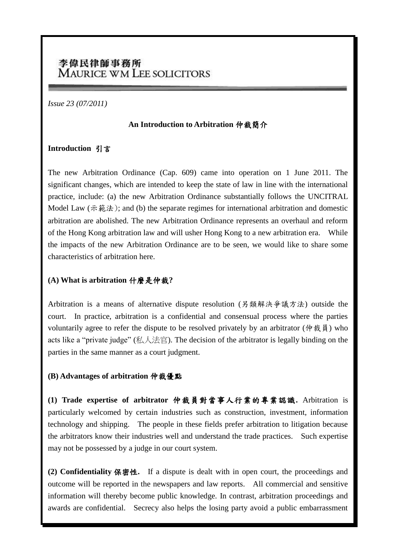# 李偉民律師事務所 **MAURICE WM LEE SOLICITORS**

*Issue 23 (07/2011)*

#### **An Introduction to Arbitration** 仲裁簡介

### **Introduction** 引言

The new Arbitration Ordinance (Cap. 609) came into operation on 1 June 2011. The significant changes, which are intended to keep the state of law in line with the international practice, include: (a) the new Arbitration Ordinance substantially follows the UNCITRAL Model Law (示範法); and (b) the separate regimes for international arbitration and domestic arbitration are abolished. The new Arbitration Ordinance represents an overhaul and reform of the Hong Kong arbitration law and will usher Hong Kong to a new arbitration era. While the impacts of the new Arbitration Ordinance are to be seen, we would like to share some characteristics of arbitration here.

## **(A) What is arbitration** 什麼是仲裁**?**

Arbitration is a means of alternative dispute resolution (另類解決爭議方法) outside the court. In practice, arbitration is a confidential and consensual process where the parties voluntarily agree to refer the dispute to be resolved privately by an arbitrator (仲裁員) who acts like a "private judge" (私人法官). The decision of the arbitrator is legally binding on the parties in the same manner as a court judgment.

### **(B) Advantages of arbitration** 仲裁優點

**(1) Trade expertise of arbitrator** 仲裁員對當事人行業的專業認識**.** Arbitration is particularly welcomed by certain industries such as construction, investment, information technology and shipping. The people in these fields prefer arbitration to litigation because the arbitrators know their industries well and understand the trade practices. Such expertise may not be possessed by a judge in our court system.

**(2) Confidentiality** 保密性**.** If a dispute is dealt with in open court, the proceedings and outcome will be reported in the newspapers and law reports. All commercial and sensitive information will thereby become public knowledge. In contrast, arbitration proceedings and awards are confidential. Secrecy also helps the losing party avoid a public embarrassment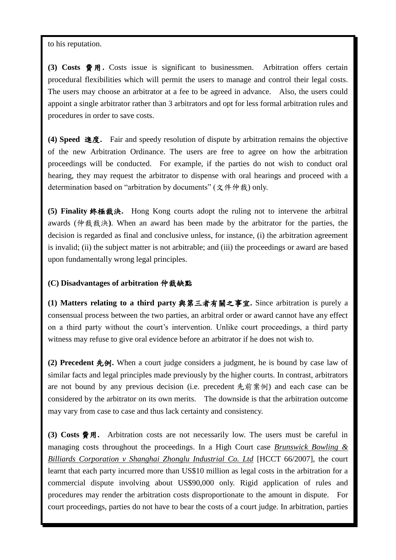to his reputation.

**(3) Costs** 費用**.** Costs issue is significant to businessmen. Arbitration offers certain procedural flexibilities which will permit the users to manage and control their legal costs. The users may choose an arbitrator at a fee to be agreed in advance. Also, the users could appoint a single arbitrator rather than 3 arbitrators and opt for less formal arbitration rules and procedures in order to save costs.

**(4) Speed** 進度**.** Fair and speedy resolution of dispute by arbitration remains the objective of the new Arbitration Ordinance. The users are free to agree on how the arbitration proceedings will be conducted. For example, if the parties do not wish to conduct oral hearing, they may request the arbitrator to dispense with oral hearings and proceed with a determination based on "arbitration by documents" (文件仲裁) only.

**(5) Finality** 終極裁決**.** Hong Kong courts adopt the ruling not to intervene the arbitral awards (仲裁裁決**)**. When an award has been made by the arbitrator for the parties, the decision is regarded as final and conclusive unless, for instance, (i) the arbitration agreement is invalid; (ii) the subject matter is not arbitrable; and (iii) the proceedings or award are based upon fundamentally wrong legal principles.

#### **(C) Disadvantages of arbitration** 仲裁缺點

**(1) Matters relating to a third party** 與第三者有關之事宜**.** Since arbitration is purely a consensual process between the two parties, an arbitral order or award cannot have any effect on a third party without the court's intervention. Unlike court proceedings, a third party witness may refuse to give oral evidence before an arbitrator if he does not wish to.

**(2) Precedent** 先例**.** When a court judge considers a judgment, he is bound by case law of similar facts and legal principles made previously by the higher courts. In contrast, arbitrators are not bound by any previous decision (i.e. precedent 先前案例) and each case can be considered by the arbitrator on its own merits. The downside is that the arbitration outcome may vary from case to case and thus lack certainty and consistency.

**(3) Costs** 費用**.** Arbitration costs are not necessarily low. The users must be careful in managing costs throughout the proceedings. In a High Court case *Brunswick Bowling & Billiards Corporation v Shanghai Zhonglu Industrial Co. Ltd* [HCCT 66/2007], the court learnt that each party incurred more than US\$10 million as legal costs in the arbitration for a commercial dispute involving about US\$90,000 only. Rigid application of rules and procedures may render the arbitration costs disproportionate to the amount in dispute. For court proceedings, parties do not have to bear the costs of a court judge. In arbitration, parties